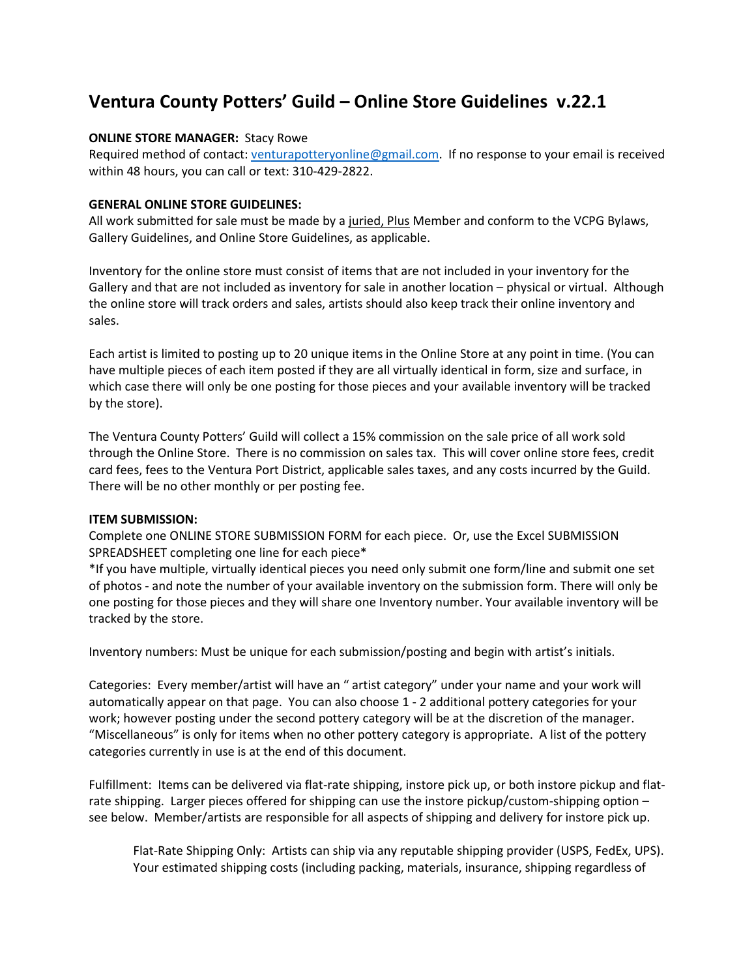# **Ventura County Potters' Guild – Online Store Guidelines v.22.1**

## **ONLINE STORE MANAGER:** Stacy Rowe

Required method of contact[: venturapotteryonline@gmail.com.](mailto:venturapotteryonline@gmail.com) If no response to your email is received within 48 hours, you can call or text: 310-429-2822.

## **GENERAL ONLINE STORE GUIDELINES:**

All work submitted for sale must be made by a juried, Plus Member and conform to the VCPG Bylaws, Gallery Guidelines, and Online Store Guidelines, as applicable.

Inventory for the online store must consist of items that are not included in your inventory for the Gallery and that are not included as inventory for sale in another location – physical or virtual. Although the online store will track orders and sales, artists should also keep track their online inventory and sales.

Each artist is limited to posting up to 20 unique items in the Online Store at any point in time. (You can have multiple pieces of each item posted if they are all virtually identical in form, size and surface, in which case there will only be one posting for those pieces and your available inventory will be tracked by the store).

The Ventura County Potters' Guild will collect a 15% commission on the sale price of all work sold through the Online Store. There is no commission on sales tax. This will cover online store fees, credit card fees, fees to the Ventura Port District, applicable sales taxes, and any costs incurred by the Guild. There will be no other monthly or per posting fee.

#### **ITEM SUBMISSION:**

Complete one ONLINE STORE SUBMISSION FORM for each piece. Or, use the Excel SUBMISSION SPREADSHEET completing one line for each piece\*

\*If you have multiple, virtually identical pieces you need only submit one form/line and submit one set of photos - and note the number of your available inventory on the submission form. There will only be one posting for those pieces and they will share one Inventory number. Your available inventory will be tracked by the store.

Inventory numbers: Must be unique for each submission/posting and begin with artist's initials.

Categories: Every member/artist will have an " artist category" under your name and your work will automatically appear on that page. You can also choose 1 - 2 additional pottery categories for your work; however posting under the second pottery category will be at the discretion of the manager. "Miscellaneous" is only for items when no other pottery category is appropriate. A list of the pottery categories currently in use is at the end of this document.

Fulfillment: Items can be delivered via flat-rate shipping, instore pick up, or both instore pickup and flatrate shipping. Larger pieces offered for shipping can use the instore pickup/custom-shipping option – see below. Member/artists are responsible for all aspects of shipping and delivery for instore pick up.

Flat-Rate Shipping Only: Artists can ship via any reputable shipping provider (USPS, FedEx, UPS). Your estimated shipping costs (including packing, materials, insurance, shipping regardless of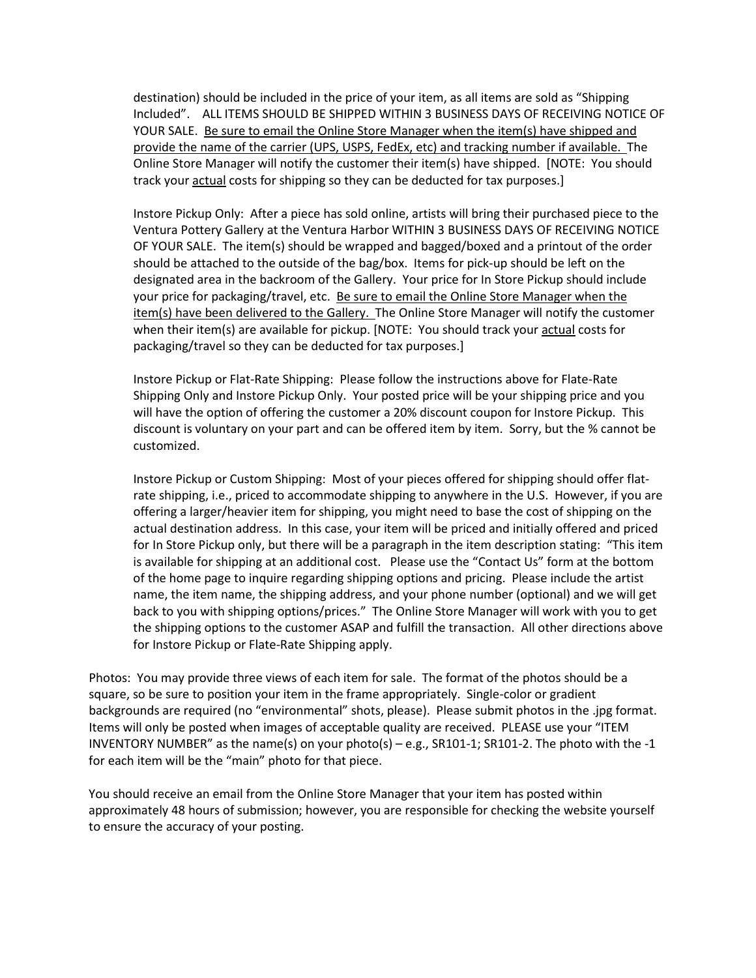destination) should be included in the price of your item, as all items are sold as "Shipping Included". ALL ITEMS SHOULD BE SHIPPED WITHIN 3 BUSINESS DAYS OF RECEIVING NOTICE OF YOUR SALE. Be sure to email the Online Store Manager when the item(s) have shipped and provide the name of the carrier (UPS, USPS, FedEx, etc) and tracking number if available. The Online Store Manager will notify the customer their item(s) have shipped. [NOTE: You should track your actual costs for shipping so they can be deducted for tax purposes.]

Instore Pickup Only: After a piece has sold online, artists will bring their purchased piece to the Ventura Pottery Gallery at the Ventura Harbor WITHIN 3 BUSINESS DAYS OF RECEIVING NOTICE OF YOUR SALE. The item(s) should be wrapped and bagged/boxed and a printout of the order should be attached to the outside of the bag/box. Items for pick-up should be left on the designated area in the backroom of the Gallery. Your price for In Store Pickup should include your price for packaging/travel, etc. Be sure to email the Online Store Manager when the item(s) have been delivered to the Gallery. The Online Store Manager will notify the customer when their item(s) are available for pickup. [NOTE: You should track your actual costs for packaging/travel so they can be deducted for tax purposes.]

Instore Pickup or Flat-Rate Shipping: Please follow the instructions above for Flate-Rate Shipping Only and Instore Pickup Only. Your posted price will be your shipping price and you will have the option of offering the customer a 20% discount coupon for Instore Pickup. This discount is voluntary on your part and can be offered item by item. Sorry, but the % cannot be customized.

Instore Pickup or Custom Shipping: Most of your pieces offered for shipping should offer flatrate shipping, i.e., priced to accommodate shipping to anywhere in the U.S. However, if you are offering a larger/heavier item for shipping, you might need to base the cost of shipping on the actual destination address. In this case, your item will be priced and initially offered and priced for In Store Pickup only, but there will be a paragraph in the item description stating: "This item is available for shipping at an additional cost. Please use the "Contact Us" form at the bottom of the home page to inquire regarding shipping options and pricing. Please include the artist name, the item name, the shipping address, and your phone number (optional) and we will get back to you with shipping options/prices." The Online Store Manager will work with you to get the shipping options to the customer ASAP and fulfill the transaction. All other directions above for Instore Pickup or Flate-Rate Shipping apply.

Photos: You may provide three views of each item for sale. The format of the photos should be a square, so be sure to position your item in the frame appropriately. Single-color or gradient backgrounds are required (no "environmental" shots, please). Please submit photos in the .jpg format. Items will only be posted when images of acceptable quality are received. PLEASE use your "ITEM INVENTORY NUMBER" as the name(s) on your photo(s) – e.g.,  $SR101-1$ ;  $SR101-2$ . The photo with the -1 for each item will be the "main" photo for that piece.

You should receive an email from the Online Store Manager that your item has posted within approximately 48 hours of submission; however, you are responsible for checking the website yourself to ensure the accuracy of your posting.